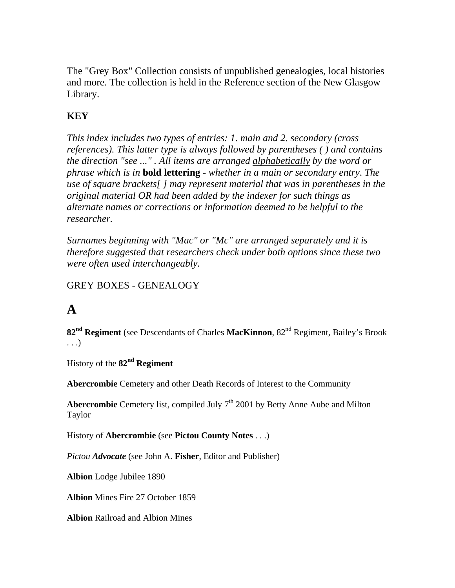The "Grey Box" Collection consists of unpublished genealogies, local histories and more. The collection is held in the Reference section of the New Glasgow Library.

### **KEY**

*This index includes two types of entries: 1. main and 2. secondary (cross references). This latter type is always followed by parentheses ( ) and contains the direction "see ..." . All items are arranged alphabetically by the word or phrase which is in* **bold lettering** *- whether in a main or secondary entry*. *The use of square brackets[ ] may represent material that was in parentheses in the original material OR had been added by the indexer for such things as alternate names or corrections or information deemed to be helpful to the researcher.* 

*Surnames beginning with "Mac" or "Mc" are arranged separately and it is therefore suggested that researchers check under both options since these two were often used interchangeably.* 

### GREY BOXES - GENEALOGY

# **A**

**82nd Regiment** (see Descendants of Charles **MacKinnon**, 82nd Regiment, Bailey's Brook . . .)

History of the **82nd Regiment** 

**Abercrombie** Cemetery and other Death Records of Interest to the Community

**Abercrombie** Cemetery list, compiled July 7<sup>th</sup> 2001 by Betty Anne Aube and Milton Taylor

History of **Abercrombie** (see **Pictou County Notes** . . .)

*Pictou Advocate* (see John A. **Fisher**, Editor and Publisher)

**Albion** Lodge Jubilee 1890

**Albion** Mines Fire 27 October 1859

**Albion** Railroad and Albion Mines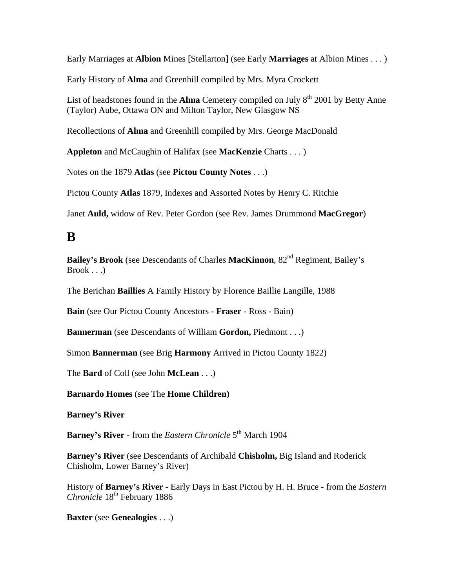Early Marriages at **Albion** Mines [Stellarton] (see Early **Marriages** at Albion Mines . . . )

Early History of **Alma** and Greenhill compiled by Mrs. Myra Crockett

List of headstones found in the **Alma** Cemetery compiled on July  $8<sup>th</sup>$  2001 by Betty Anne (Taylor) Aube, Ottawa ON and Milton Taylor, New Glasgow NS

Recollections of **Alma** and Greenhill compiled by Mrs. George MacDonald

**Appleton** and McCaughin of Halifax (see **MacKenzie** Charts . . . )

Notes on the 1879 **Atlas** (see **Pictou County Notes** . . .)

Pictou County **Atlas** 1879, Indexes and Assorted Notes by Henry C. Ritchie

Janet **Auld,** widow of Rev. Peter Gordon (see Rev. James Drummond **MacGregor**)

### **B**

**Bailey's Brook** (see Descendants of Charles **MacKinnon**,  $82<sup>nd</sup>$  Regiment, Bailey's  $Brook \ldots$ 

The Berichan **Baillies** A Family History by Florence Baillie Langille, 1988

**Bain** (see Our Pictou County Ancestors - **Fraser** - Ross - Bain)

**Bannerman** (see Descendants of William **Gordon,** Piedmont . . .)

Simon **Bannerman** (see Brig **Harmony** Arrived in Pictou County 1822)

The **Bard** of Coll (see John **McLean** . . .)

**Barnardo Homes** (see The **Home Children)**

**Barney's River** 

**Barney's River** - from the *Eastern Chronicle* 5<sup>th</sup> March 1904

**Barney's River** (see Descendants of Archibald **Chisholm,** Big Island and Roderick Chisholm, Lower Barney's River)

History of **Barney's River** - Early Days in East Pictou by H. H. Bruce - from the *Eastern Chronicle*  $18<sup>th</sup>$  February 1886

**Baxter** (see **Genealogies** . . .)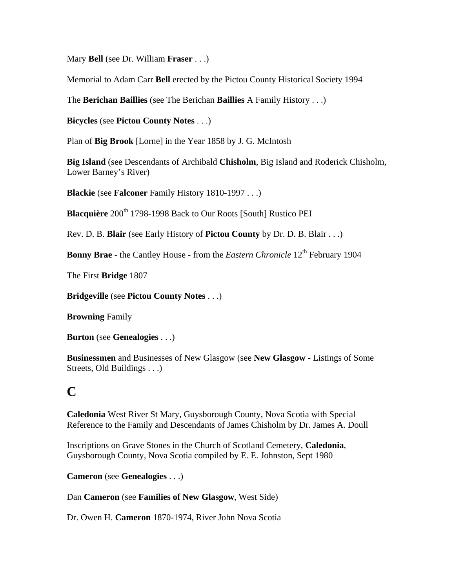Mary **Bell** (see Dr. William **Fraser** . . .)

Memorial to Adam Carr **Bell** erected by the Pictou County Historical Society 1994

The **Berichan Baillies** (see The Berichan **Baillies** A Family History . . .)

**Bicycles** (see **Pictou County Notes** . . .)

Plan of **Big Brook** [Lorne] in the Year 1858 by J. G. McIntosh

**Big Island** (see Descendants of Archibald **Chisholm**, Big Island and Roderick Chisholm, Lower Barney's River)

**Blackie** (see **Falconer** Family History 1810-1997 . . .)

**Blacquière** 200<sup>th</sup> 1798-1998 Back to Our Roots [South] Rustico PEI

Rev. D. B. **Blair** (see Early History of **Pictou County** by Dr. D. B. Blair . . .)

**Bonny Brae** - the Cantley House - from the *Eastern Chronicle* 12<sup>th</sup> February 1904

The First **Bridge** 1807

**Bridgeville** (see **Pictou County Notes** . . .)

**Browning** Family

**Burton** (see **Genealogies** . . .)

**Businessmen** and Businesses of New Glasgow (see **New Glasgow** - Listings of Some Streets, Old Buildings . . .)

# **C**

**Caledonia** West River St Mary, Guysborough County, Nova Scotia with Special Reference to the Family and Descendants of James Chisholm by Dr. James A. Doull

Inscriptions on Grave Stones in the Church of Scotland Cemetery, **Caledonia**, Guysborough County, Nova Scotia compiled by E. E. Johnston, Sept 1980

**Cameron** (see **Genealogies** . . .)

Dan **Cameron** (see **Families of New Glasgow**, West Side)

Dr. Owen H. **Cameron** 1870-1974, River John Nova Scotia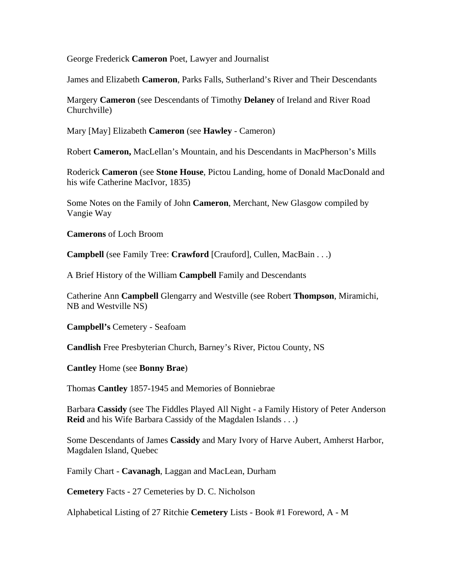George Frederick **Cameron** Poet, Lawyer and Journalist

James and Elizabeth **Cameron**, Parks Falls, Sutherland's River and Their Descendants

Margery **Cameron** (see Descendants of Timothy **Delaney** of Ireland and River Road Churchville)

Mary [May] Elizabeth **Cameron** (see **Hawley** - Cameron)

Robert **Cameron,** MacLellan's Mountain, and his Descendants in MacPherson's Mills

Roderick **Cameron** (see **Stone House**, Pictou Landing, home of Donald MacDonald and his wife Catherine MacIvor, 1835)

Some Notes on the Family of John **Cameron**, Merchant, New Glasgow compiled by Vangie Way

**Camerons** of Loch Broom

**Campbell** (see Family Tree: **Crawford** [Crauford], Cullen, MacBain . . .)

A Brief History of the William **Campbell** Family and Descendants

Catherine Ann **Campbell** Glengarry and Westville (see Robert **Thompson**, Miramichi, NB and Westville NS)

**Campbell's** Cemetery - Seafoam

**Candlish** Free Presbyterian Church, Barney's River, Pictou County, NS

**Cantley** Home (see **Bonny Brae**)

Thomas **Cantley** 1857-1945 and Memories of Bonniebrae

Barbara **Cassidy** (see The Fiddles Played All Night - a Family History of Peter Anderson **Reid** and his Wife Barbara Cassidy of the Magdalen Islands . . .)

Some Descendants of James **Cassidy** and Mary Ivory of Harve Aubert, Amherst Harbor, Magdalen Island, Quebec

Family Chart - **Cavanagh**, Laggan and MacLean, Durham

**Cemetery** Facts - 27 Cemeteries by D. C. Nicholson

Alphabetical Listing of 27 Ritchie **Cemetery** Lists - Book #1 Foreword, A - M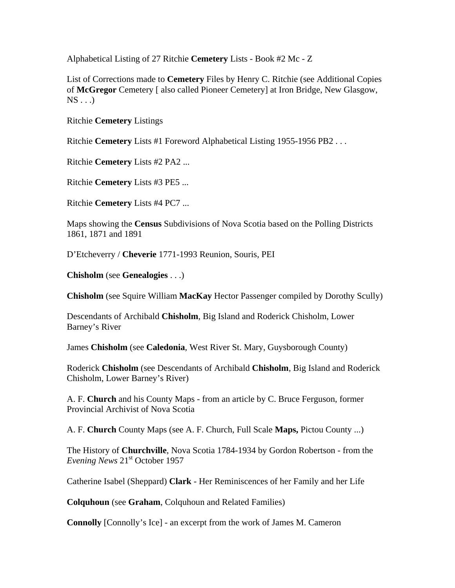Alphabetical Listing of 27 Ritchie **Cemetery** Lists - Book #2 Mc - Z

List of Corrections made to **Cemetery** Files by Henry C. Ritchie (see Additional Copies of **McGregor** Cemetery [ also called Pioneer Cemetery] at Iron Bridge, New Glasgow,  $NS \dots$ 

Ritchie **Cemetery** Listings

Ritchie **Cemetery** Lists #1 Foreword Alphabetical Listing 1955-1956 PB2 . . .

Ritchie **Cemetery** Lists #2 PA2 ...

Ritchie **Cemetery** Lists #3 PE5 ...

Ritchie **Cemetery** Lists #4 PC7 ...

Maps showing the **Census** Subdivisions of Nova Scotia based on the Polling Districts 1861, 1871 and 1891

D'Etcheverry / **Cheverie** 1771-1993 Reunion, Souris, PEI

**Chisholm** (see **Genealogies** . . .)

**Chisholm** (see Squire William **MacKay** Hector Passenger compiled by Dorothy Scully)

Descendants of Archibald **Chisholm**, Big Island and Roderick Chisholm, Lower Barney's River

James **Chisholm** (see **Caledonia**, West River St. Mary, Guysborough County)

Roderick **Chisholm** (see Descendants of Archibald **Chisholm**, Big Island and Roderick Chisholm, Lower Barney's River)

A. F. **Church** and his County Maps - from an article by C. Bruce Ferguson, former Provincial Archivist of Nova Scotia

A. F. **Church** County Maps (see A. F. Church, Full Scale **Maps,** Pictou County ...)

The History of **Churchville**, Nova Scotia 1784-1934 by Gordon Robertson - from the *Evening News* 21<sup>st</sup> October 1957

Catherine Isabel (Sheppard) **Clark** - Her Reminiscences of her Family and her Life

**Colquhoun** (see **Graham**, Colquhoun and Related Families)

**Connolly** [Connolly's Ice] - an excerpt from the work of James M. Cameron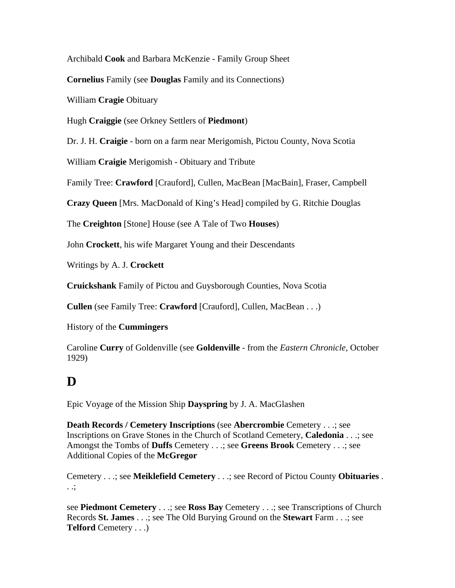Archibald **Cook** and Barbara McKenzie - Family Group Sheet

**Cornelius** Family (see **Douglas** Family and its Connections)

William **Cragie** Obituary

Hugh **Craiggie** (see Orkney Settlers of **Piedmont**)

Dr. J. H. **Craigie** - born on a farm near Merigomish, Pictou County, Nova Scotia

William **Craigie** Merigomish - Obituary and Tribute

Family Tree: **Crawford** [Crauford], Cullen, MacBean [MacBain], Fraser, Campbell

**Crazy Queen** [Mrs. MacDonald of King's Head] compiled by G. Ritchie Douglas

The **Creighton** [Stone] House (see A Tale of Two **Houses**)

John **Crockett**, his wife Margaret Young and their Descendants

Writings by A. J. **Crockett** 

**Cruickshank** Family of Pictou and Guysborough Counties, Nova Scotia

**Cullen** (see Family Tree: **Crawford** [Crauford], Cullen, MacBean . . .)

History of the **Cummingers** 

Caroline **Curry** of Goldenville (see **Goldenville** - from the *Eastern Chronicle*, October 1929)

# **D**

Epic Voyage of the Mission Ship **Dayspring** by J. A. MacGlashen

**Death Records / Cemetery Inscriptions** (see **Abercrombie** Cemetery . . .; see Inscriptions on Grave Stones in the Church of Scotland Cemetery, **Caledonia** . . .; see Amongst the Tombs of **Duffs** Cemetery . . .; see **Greens Brook** Cemetery . . .; see Additional Copies of the **McGregor** 

Cemetery . . .; see **Meiklefield Cemetery** . . .; see Record of Pictou County **Obituaries** . . .;

see **Piedmont Cemetery** . . .; see **Ross Bay** Cemetery . . .; see Transcriptions of Church Records **St. James** . . .; see The Old Burying Ground on the **Stewart** Farm . . .; see **Telford** Cemetery . . .)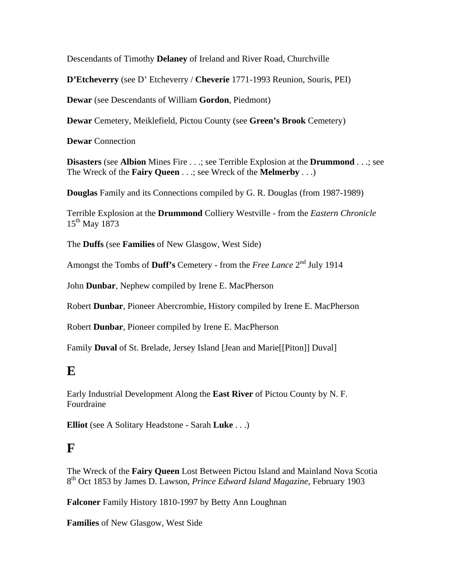Descendants of Timothy **Delaney** of Ireland and River Road, Churchville

**D'Etcheverry** (see D' Etcheverry / **Cheverie** 1771-1993 Reunion, Souris, PEI)

**Dewar** (see Descendants of William **Gordon**, Piedmont)

**Dewar** Cemetery, Meiklefield, Pictou County (see **Green's Brook** Cemetery)

**Dewar** Connection

**Disasters** (see **Albion** Mines Fire . . .; see Terrible Explosion at the **Drummond** . . .; see The Wreck of the **Fairy Queen** . . .; see Wreck of the **Melmerby** . . .)

**Douglas** Family and its Connections compiled by G. R. Douglas (from 1987-1989)

Terrible Explosion at the **Drummond** Colliery Westville - from the *Eastern Chronicle* 15<sup>th</sup> May 1873

The **Duffs** (see **Families** of New Glasgow, West Side)

Amongst the Tombs of **Duff's** Cemetery - from the *Free Lance* 2nd July 1914

John **Dunbar**, Nephew compiled by Irene E. MacPherson

Robert **Dunbar**, Pioneer Abercrombie, History compiled by Irene E. MacPherson

Robert **Dunbar**, Pioneer compiled by Irene E. MacPherson

Family **Duval** of St. Brelade, Jersey Island [Jean and Marie[[Piton]] Duval]

### **E**

Early Industrial Development Along the **East River** of Pictou County by N. F. Fourdraine

**Elliot** (see A Solitary Headstone - Sarah **Luke** . . .)

### **F**

The Wreck of the **Fairy Queen** Lost Between Pictou Island and Mainland Nova Scotia 8th Oct 1853 by James D. Lawson, *Prince Edward Island Magazine*, February 1903

**Falconer** Family History 1810-1997 by Betty Ann Loughnan

**Families** of New Glasgow, West Side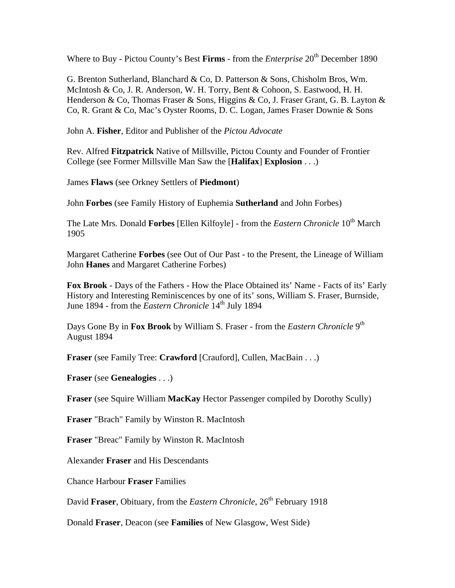Where to Buy - Pictou County's Best Firms - from the *Enterprise* 20<sup>th</sup> December 1890

G. Brenton Sutherland, Blanchard & Co, D. Patterson & Sons, Chisholm Bros, Wm. McIntosh & Co, J. R. Anderson, W. H. Torry, Bent & Cohoon, S. Eastwood, H. H. Henderson & Co, Thomas Fraser & Sons, Higgins & Co, J. Fraser Grant, G. B. Layton & Co, R. Grant & Co, Mac's Oyster Rooms, D. C. Logan, James Fraser Downie & Sons

John A. **Fisher**, Editor and Publisher of the *Pictou Advocate*

Rev. Alfred **Fitzpatrick** Native of Millsville, Pictou County and Founder of Frontier College (see Former Millsville Man Saw the [**Halifax**] **Explosion** . . .)

James **Flaws** (see Orkney Settlers of **Piedmont**)

John **Forbes** (see Family History of Euphemia **Sutherland** and John Forbes)

The Late Mrs. Donald **Forbes** [Ellen Kilfoyle] - from the *Eastern Chronicle* 10th March 1905

Margaret Catherine **Forbes** (see Out of Our Past - to the Present, the Lineage of William John **Hanes** and Margaret Catherine Forbes)

**Fox Brook** - Days of the Fathers - How the Place Obtained its' Name - Facts of its' Early History and Interesting Reminiscences by one of its' sons, William S. Fraser, Burnside, June 1894 - from the *Eastern Chronicle* 14<sup>th</sup> July 1894

Days Gone By in **Fox Brook** by William S. Fraser - from the *Eastern Chronicle* 9<sup>th</sup> August 1894

**Fraser** (see Family Tree: **Crawford** [Crauford], Cullen, MacBain . . .)

**Fraser** (see **Genealogies** . . .)

**Fraser** (see Squire William **MacKay** Hector Passenger compiled by Dorothy Scully)

**Fraser** "Brach" Family by Winston R. MacIntosh

**Fraser** "Breac" Family by Winston R. MacIntosh

Alexander **Fraser** and His Descendants

Chance Harbour **Fraser** Families

David **Fraser**, Obituary, from the *Eastern Chronicle*, 26<sup>th</sup> February 1918

Donald **Fraser**, Deacon (see **Families** of New Glasgow, West Side)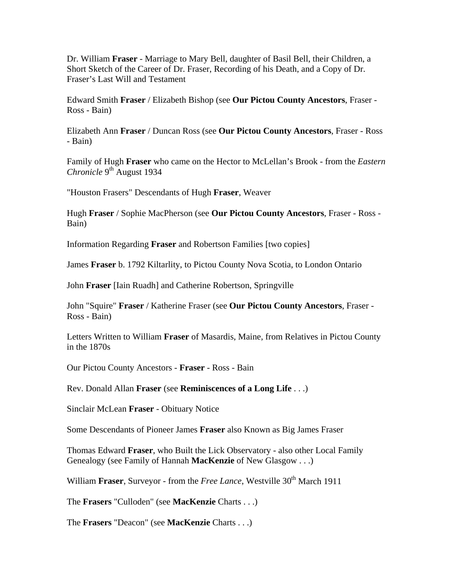Dr. William **Fraser** - Marriage to Mary Bell, daughter of Basil Bell, their Children, a Short Sketch of the Career of Dr. Fraser, Recording of his Death, and a Copy of Dr. Fraser's Last Will and Testament

Edward Smith **Fraser** / Elizabeth Bishop (see **Our Pictou County Ancestors**, Fraser - Ross - Bain)

Elizabeth Ann **Fraser** / Duncan Ross (see **Our Pictou County Ancestors**, Fraser - Ross - Bain)

Family of Hugh **Fraser** who came on the Hector to McLellan's Brook - from the *Eastern Chronicle* 9<sup>th</sup> August 1934

"Houston Frasers" Descendants of Hugh **Fraser**, Weaver

Hugh **Fraser** / Sophie MacPherson (see **Our Pictou County Ancestors**, Fraser - Ross - Bain)

Information Regarding **Fraser** and Robertson Families [two copies]

James **Fraser** b. 1792 Kiltarlity, to Pictou County Nova Scotia, to London Ontario

John **Fraser** [Iain Ruadh] and Catherine Robertson, Springville

John "Squire" **Fraser** / Katherine Fraser (see **Our Pictou County Ancestors**, Fraser - Ross - Bain)

Letters Written to William **Fraser** of Masardis, Maine, from Relatives in Pictou County in the 1870s

Our Pictou County Ancestors - **Fraser** - Ross - Bain

Rev. Donald Allan **Fraser** (see **Reminiscences of a Long Life** . . .)

Sinclair McLean **Fraser** - Obituary Notice

Some Descendants of Pioneer James **Fraser** also Known as Big James Fraser

Thomas Edward **Fraser**, who Built the Lick Observatory - also other Local Family Genealogy (see Family of Hannah **MacKenzie** of New Glasgow . . .)

William **Fraser**, Surveyor - from the *Free Lance*, Westville 30<sup>th</sup> March 1911

The **Frasers** "Culloden" (see **MacKenzie** Charts . . .)

The **Frasers** "Deacon" (see **MacKenzie** Charts . . .)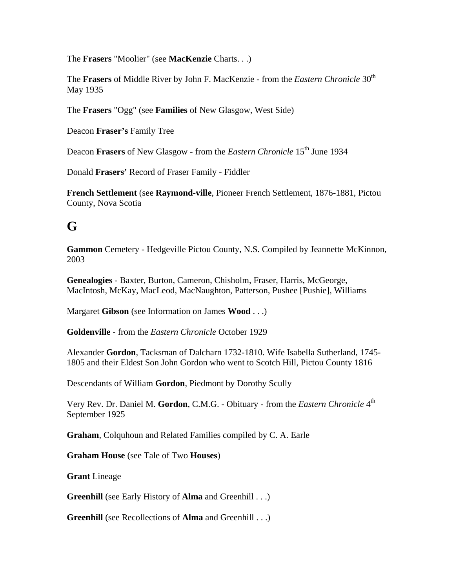The **Frasers** "Moolier" (see **MacKenzie** Charts. . .)

The **Frasers** of Middle River by John F. MacKenzie - from the *Eastern Chronicle* 30<sup>th</sup> May 1935

The **Frasers** "Ogg" (see **Families** of New Glasgow, West Side)

Deacon **Fraser's** Family Tree

Deacon **Frasers** of New Glasgow - from the *Eastern Chronicle* 15<sup>th</sup> June 1934

Donald **Frasers'** Record of Fraser Family - Fiddler

**French Settlement** (see **Raymond-ville**, Pioneer French Settlement, 1876-1881, Pictou County, Nova Scotia

# **G**

**Gammon** Cemetery - Hedgeville Pictou County, N.S. Compiled by Jeannette McKinnon, 2003

**Genealogies** - Baxter, Burton, Cameron, Chisholm, Fraser, Harris, McGeorge, MacIntosh, McKay, MacLeod, MacNaughton, Patterson, Pushee [Pushie], Williams

Margaret **Gibson** (see Information on James **Wood** . . .)

**Goldenville** - from the *Eastern Chronicle* October 1929

Alexander **Gordon**, Tacksman of Dalcharn 1732-1810. Wife Isabella Sutherland, 1745- 1805 and their Eldest Son John Gordon who went to Scotch Hill, Pictou County 1816

Descendants of William **Gordon**, Piedmont by Dorothy Scully

Very Rev. Dr. Daniel M. **Gordon**, C.M.G. - Obituary - from the *Eastern Chronicle* 4th September 1925

**Graham**, Colquhoun and Related Families compiled by C. A. Earle

**Graham House** (see Tale of Two **Houses**)

**Grant** Lineage

**Greenhill** (see Early History of **Alma** and Greenhill . . .)

**Greenhill** (see Recollections of **Alma** and Greenhill . . .)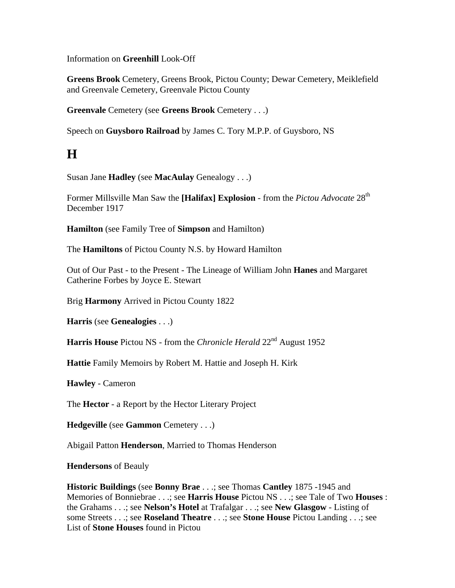Information on **Greenhill** Look-Off

**Greens Brook** Cemetery, Greens Brook, Pictou County; Dewar Cemetery, Meiklefield and Greenvale Cemetery, Greenvale Pictou County

**Greenvale** Cemetery (see **Greens Brook** Cemetery . . .)

Speech on **Guysboro Railroad** by James C. Tory M.P.P. of Guysboro, NS

# **H**

Susan Jane **Hadley** (see **MacAulay** Genealogy . . .)

Former Millsville Man Saw the [Halifax] Explosion - from the *Pictou Advocate* 28<sup>th</sup> December 1917

**Hamilton** (see Family Tree of **Simpson** and Hamilton)

The **Hamiltons** of Pictou County N.S. by Howard Hamilton

Out of Our Past - to the Present - The Lineage of William John **Hanes** and Margaret Catherine Forbes by Joyce E. Stewart

Brig **Harmony** Arrived in Pictou County 1822

**Harris** (see **Genealogies** . . .)

**Harris House** Pictou NS - from the *Chronicle Herald* 22<sup>nd</sup> August 1952

**Hattie** Family Memoirs by Robert M. Hattie and Joseph H. Kirk

**Hawley** - Cameron

The **Hector** - a Report by the Hector Literary Project

**Hedgeville** (see **Gammon** Cemetery . . .)

Abigail Patton **Henderson**, Married to Thomas Henderson

**Hendersons** of Beauly

**Historic Buildings** (see **Bonny Brae** . . .; see Thomas **Cantley** 1875 -1945 and Memories of Bonniebrae . . .; see **Harris House** Pictou NS . . .; see Tale of Two **Houses** : the Grahams . . .; see **Nelson's Hotel** at Trafalgar . . .; see **New Glasgow** - Listing of some Streets . . .; see **Roseland Theatre** . . .; see **Stone House** Pictou Landing . . .; see List of **Stone Houses** found in Pictou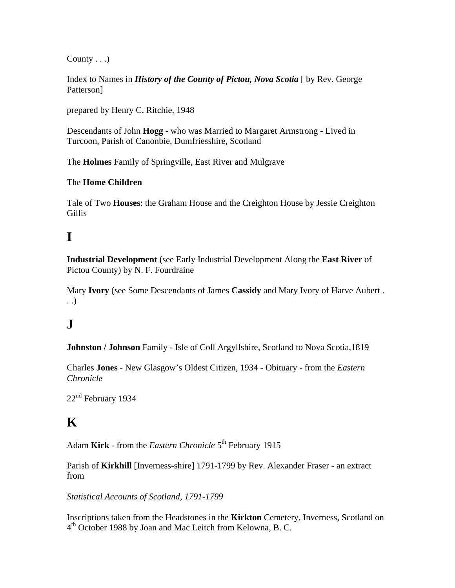County . . .)

Index to Names in *History of the County of Pictou, Nova Scotia* [ by Rev. George Patterson]

prepared by Henry C. Ritchie, 1948

Descendants of John **Hogg** - who was Married to Margaret Armstrong - Lived in Turcoon, Parish of Canonbie, Dumfriesshire, Scotland

The **Holmes** Family of Springville, East River and Mulgrave

#### The **Home Children**

Tale of Two **Houses**: the Graham House and the Creighton House by Jessie Creighton Gillis

# **I**

**Industrial Development** (see Early Industrial Development Along the **East River** of Pictou County) by N. F. Fourdraine

Mary **Ivory** (see Some Descendants of James **Cassidy** and Mary Ivory of Harve Aubert . . .)

# $\mathbf{J}$

**Johnston / Johnson** Family - Isle of Coll Argyllshire, Scotland to Nova Scotia,1819

Charles **Jones** - New Glasgow's Oldest Citizen, 1934 - Obituary - from the *Eastern Chronicle*

22<sup>nd</sup> February 1934

# **K**

Adam Kirk - from the *Eastern Chronicle* 5<sup>th</sup> February 1915

Parish of **Kirkhill** [Inverness-shire] 1791-1799 by Rev. Alexander Fraser - an extract from

*Statistical Accounts of Scotland, 1791-1799*

Inscriptions taken from the Headstones in the **Kirkton** Cemetery, Inverness, Scotland on  $4<sup>th</sup>$  October 1988 by Joan and Mac Leitch from Kelowna, B. C.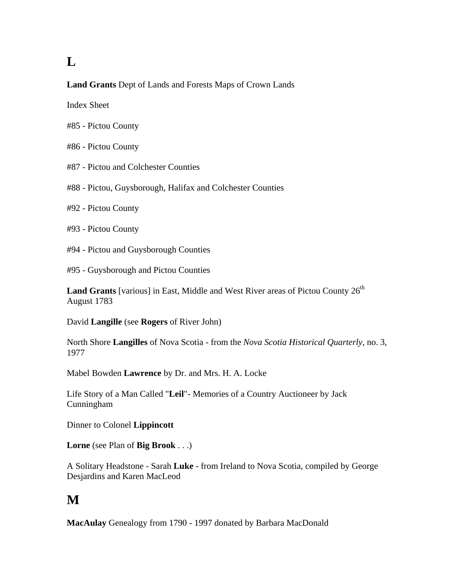# **L**

#### **Land Grants** Dept of Lands and Forests Maps of Crown Lands

Index Sheet

- #85 Pictou County
- #86 Pictou County
- #87 Pictou and Colchester Counties
- #88 Pictou, Guysborough, Halifax and Colchester Counties
- #92 Pictou County
- #93 Pictou County
- #94 Pictou and Guysborough Counties

#95 - Guysborough and Pictou Counties

**Land Grants** [various] in East, Middle and West River areas of Pictou County  $26<sup>th</sup>$ August 1783

David **Langille** (see **Rogers** of River John)

North Shore **Langilles** of Nova Scotia - from the *Nova Scotia Historical Quarterly*, no. 3, 1977

Mabel Bowden **Lawrence** by Dr. and Mrs. H. A. Locke

Life Story of a Man Called "**Leil**"- Memories of a Country Auctioneer by Jack Cunningham

Dinner to Colonel **Lippincott** 

**Lorne** (see Plan of **Big Brook** . . .)

A Solitary Headstone - Sarah **Luke** - from Ireland to Nova Scotia, compiled by George Desjardins and Karen MacLeod

# **M**

**MacAulay** Genealogy from 1790 - 1997 donated by Barbara MacDonald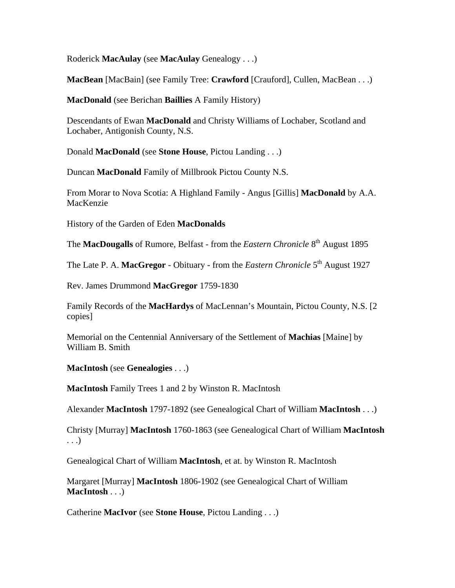Roderick **MacAulay** (see **MacAulay** Genealogy . . .)

**MacBean** [MacBain] (see Family Tree: **Crawford** [Crauford], Cullen, MacBean . . .)

**MacDonald** (see Berichan **Baillies** A Family History)

Descendants of Ewan **MacDonald** and Christy Williams of Lochaber, Scotland and Lochaber, Antigonish County, N.S.

Donald **MacDonald** (see **Stone House**, Pictou Landing . . .)

Duncan **MacDonald** Family of Millbrook Pictou County N.S.

From Morar to Nova Scotia: A Highland Family - Angus [Gillis] **MacDonald** by A.A. MacKenzie

History of the Garden of Eden **MacDonalds** 

The **MacDougalls** of Rumore, Belfast - from the *Eastern Chronicle* 8<sup>th</sup> August 1895

The Late P. A. MacGregor - Obituary - from the *Eastern Chronicle* 5<sup>th</sup> August 1927

Rev. James Drummond **MacGregor** 1759-1830

Family Records of the **MacHardys** of MacLennan's Mountain, Pictou County, N.S. [2 copies]

Memorial on the Centennial Anniversary of the Settlement of **Machias** [Maine] by William B. Smith

**MacIntosh** (see **Genealogies** . . .)

**MacIntosh** Family Trees 1 and 2 by Winston R. MacIntosh

Alexander **MacIntosh** 1797-1892 (see Genealogical Chart of William **MacIntosh** . . .)

Christy [Murray] **MacIntosh** 1760-1863 (see Genealogical Chart of William **MacIntosh** . . .)

Genealogical Chart of William **MacIntosh**, et at. by Winston R. MacIntosh

Margaret [Murray] **MacIntosh** 1806-1902 (see Genealogical Chart of William **MacIntosh** . . .)

Catherine **MacIvor** (see **Stone House**, Pictou Landing . . .)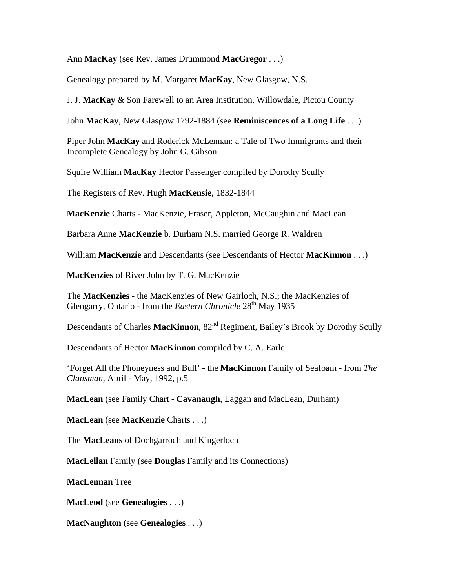Ann **MacKay** (see Rev. James Drummond **MacGregor** . . .)

Genealogy prepared by M. Margaret **MacKay**, New Glasgow, N.S.

J. J. **MacKay** & Son Farewell to an Area Institution, Willowdale, Pictou County

John **MacKay**, New Glasgow 1792-1884 (see **Reminiscences of a Long Life** . . .)

Piper John **MacKay** and Roderick McLennan: a Tale of Two Immigrants and their Incomplete Genealogy by John G. Gibson

Squire William **MacKay** Hector Passenger compiled by Dorothy Scully

The Registers of Rev. Hugh **MacKensie**, 1832-1844

**MacKenzie** Charts - MacKenzie, Fraser, Appleton, McCaughin and MacLean

Barbara Anne **MacKenzie** b. Durham N.S. married George R. Waldren

William **MacKenzie** and Descendants (see Descendants of Hector **MacKinnon** . . .)

**MacKenzies** of River John by T. G. MacKenzie

The **MacKenzies** - the MacKenzies of New Gairloch, N.S.; the MacKenzies of Glengarry, Ontario - from the *Eastern Chronicle* 28<sup>th</sup> May 1935

Descendants of Charles MacKinnon,  $82<sup>nd</sup>$  Regiment, Bailey's Brook by Dorothy Scully

Descendants of Hector **MacKinnon** compiled by C. A. Earle

'Forget All the Phoneyness and Bull' - the **MacKinnon** Family of Seafoam - from *The Clansman*, April - May, 1992, p.5

**MacLean** (see Family Chart - **Cavanaugh**, Laggan and MacLean, Durham)

**MacLean** (see **MacKenzie** Charts . . .)

The **MacLeans** of Dochgarroch and Kingerloch

**MacLellan** Family (see **Douglas** Family and its Connections)

**MacLennan** Tree

**MacLeod** (see **Genealogies** . . .)

**MacNaughton** (see **Genealogies** . . .)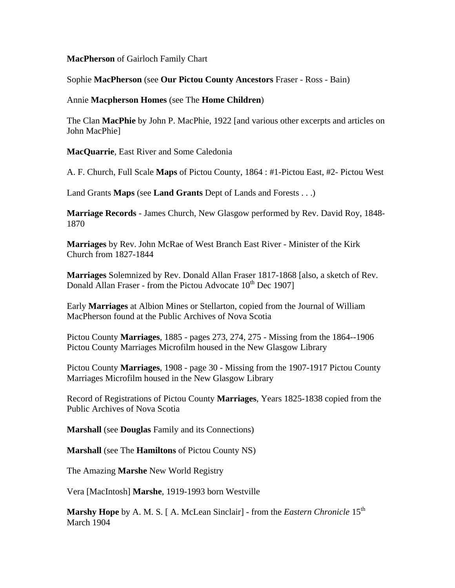#### **MacPherson** of Gairloch Family Chart

#### Sophie **MacPherson** (see **Our Pictou County Ancestors** Fraser - Ross - Bain)

#### Annie **Macpherson Homes** (see The **Home Children**)

The Clan **MacPhie** by John P. MacPhie, 1922 [and various other excerpts and articles on John MacPhie]

**MacQuarrie**, East River and Some Caledonia

A. F. Church, Full Scale **Maps** of Pictou County, 1864 : #1-Pictou East, #2- Pictou West

Land Grants **Maps** (see **Land Grants** Dept of Lands and Forests . . .)

**Marriage Records** - James Church, New Glasgow performed by Rev. David Roy, 1848- 1870

**Marriages** by Rev. John McRae of West Branch East River - Minister of the Kirk Church from 1827-1844

**Marriages** Solemnized by Rev. Donald Allan Fraser 1817-1868 [also, a sketch of Rev. Donald Allan Fraser - from the Pictou Advocate  $10^{th}$  Dec 1907]

Early **Marriages** at Albion Mines or Stellarton, copied from the Journal of William MacPherson found at the Public Archives of Nova Scotia

Pictou County **Marriages**, 1885 - pages 273, 274, 275 - Missing from the 1864--1906 Pictou County Marriages Microfilm housed in the New Glasgow Library

Pictou County **Marriages**, 1908 - page 30 - Missing from the 1907-1917 Pictou County Marriages Microfilm housed in the New Glasgow Library

Record of Registrations of Pictou County **Marriages**, Years 1825-1838 copied from the Public Archives of Nova Scotia

**Marshall** (see **Douglas** Family and its Connections)

**Marshall** (see The **Hamiltons** of Pictou County NS)

The Amazing **Marshe** New World Registry

Vera [MacIntosh] **Marshe**, 1919-1993 born Westville

**Marshy Hope** by A. M. S. [A. McLean Sinclair] - from the *Eastern Chronicle* 15<sup>th</sup> March 1904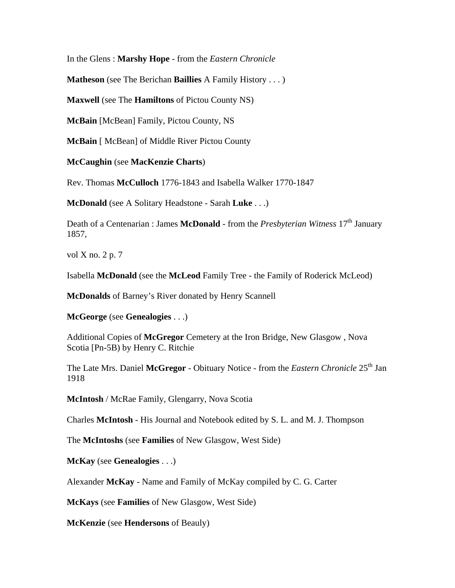In the Glens : **Marshy Hope** - from the *Eastern Chronicle* 

**Matheson** (see The Berichan **Baillies** A Family History . . . )

**Maxwell** (see The **Hamiltons** of Pictou County NS)

**McBain** [McBean] Family, Pictou County, NS

**McBain** [ McBean] of Middle River Pictou County

**McCaughin** (see **MacKenzie Charts**)

Rev. Thomas **McCulloch** 1776-1843 and Isabella Walker 1770-1847

**McDonald** (see A Solitary Headstone - Sarah **Luke** . . .)

Death of a Centenarian : James **McDonald** - from the *Presbyterian Witness* 17<sup>th</sup> January 1857,

vol X no. 2 p. 7

Isabella **McDonald** (see the **McLeod** Family Tree - the Family of Roderick McLeod)

**McDonalds** of Barney's River donated by Henry Scannell

**McGeorge** (see **Genealogies** . . .)

Additional Copies of **McGregor** Cemetery at the Iron Bridge, New Glasgow , Nova Scotia [Pn-5B) by Henry C. Ritchie

The Late Mrs. Daniel McGregor - Obituary Notice - from the *Eastern Chronicle* 25<sup>th</sup> Jan 1918

**McIntosh** / McRae Family, Glengarry, Nova Scotia

Charles **McIntosh** - His Journal and Notebook edited by S. L. and M. J. Thompson

The **McIntoshs** (see **Families** of New Glasgow, West Side)

**McKay** (see **Genealogies** . . .)

Alexander **McKay** - Name and Family of McKay compiled by C. G. Carter

**McKays** (see **Families** of New Glasgow, West Side)

**McKenzie** (see **Hendersons** of Beauly)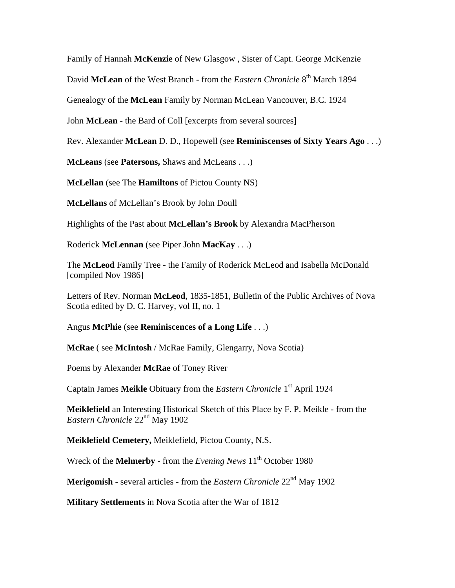Family of Hannah **McKenzie** of New Glasgow , Sister of Capt. George McKenzie

David McLean of the West Branch - from the *Eastern Chronicle* 8<sup>th</sup> March 1894

Genealogy of the **McLean** Family by Norman McLean Vancouver, B.C. 1924

John **McLean** - the Bard of Coll [excerpts from several sources]

Rev. Alexander **McLean** D. D., Hopewell (see **Reminiscenses of Sixty Years Ago** . . .)

**McLeans** (see **Patersons,** Shaws and McLeans . . .)

**McLellan** (see The **Hamiltons** of Pictou County NS)

**McLellans** of McLellan's Brook by John Doull

Highlights of the Past about **McLellan's Brook** by Alexandra MacPherson

Roderick **McLennan** (see Piper John **MacKay** . . .)

The **McLeod** Family Tree - the Family of Roderick McLeod and Isabella McDonald [compiled Nov 1986]

Letters of Rev. Norman **McLeod**, 1835-1851, Bulletin of the Public Archives of Nova Scotia edited by D. C. Harvey, vol II, no. 1

Angus **McPhie** (see **Reminiscences of a Long Life** . . .)

**McRae** ( see **McIntosh** / McRae Family, Glengarry, Nova Scotia)

Poems by Alexander **McRae** of Toney River

Captain James **Meikle** Obituary from the *Eastern Chronicle* 1<sup>st</sup> April 1924

**Meiklefield** an Interesting Historical Sketch of this Place by F. P. Meikle - from the *Eastern Chronicle* 22nd May 1902

**Meiklefield Cemetery,** Meiklefield, Pictou County, N.S.

Wreck of the **Melmerby** - from the *Evening News*  $11<sup>th</sup>$  October 1980

**Merigomish** - several articles - from the *Eastern Chronicle* 22<sup>nd</sup> May 1902

**Military Settlements** in Nova Scotia after the War of 1812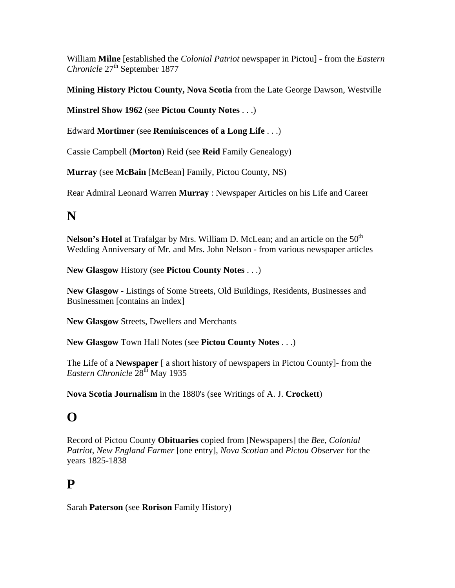William **Milne** [established the *Colonial Patriot* newspaper in Pictou] - from the *Eastern Chronicle* 27<sup>th</sup> September 1877

**Mining History Pictou County, Nova Scotia** from the Late George Dawson, Westville

**Minstrel Show 1962** (see **Pictou County Notes** . . .)

Edward **Mortimer** (see **Reminiscences of a Long Life** . . .)

Cassie Campbell (**Morton**) Reid (see **Reid** Family Genealogy)

**Murray** (see **McBain** [McBean] Family, Pictou County, NS)

Rear Admiral Leonard Warren **Murray** : Newspaper Articles on his Life and Career

# **N**

**Nelson's Hotel** at Trafalgar by Mrs. William D. McLean; and an article on the 50<sup>th</sup> Wedding Anniversary of Mr. and Mrs. John Nelson - from various newspaper articles

**New Glasgow** History (see **Pictou County Notes** . . .)

**New Glasgow** - Listings of Some Streets, Old Buildings, Residents, Businesses and Businessmen [contains an index]

**New Glasgow** Streets, Dwellers and Merchants

**New Glasgow** Town Hall Notes (see **Pictou County Notes** . . .)

The Life of a **Newspaper** [ a short history of newspapers in Pictou County]- from the *Eastern Chronicle* 28th May 1935

**Nova Scotia Journalism** in the 1880's (see Writings of A. J. **Crockett**)

# **O**

Record of Pictou County **Obituaries** copied from [Newspapers] the *Bee*, *Colonial Patriot*, *New England Farmer* [one entry], *Nova Scotian* and *Pictou Observer* for the years 1825-1838

# **P**

Sarah **Paterson** (see **Rorison** Family History)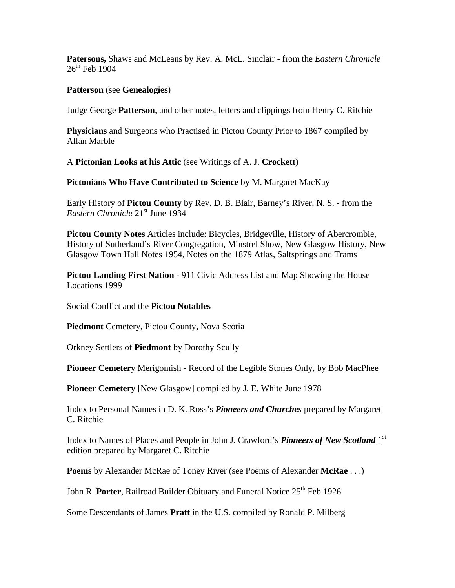**Patersons,** Shaws and McLeans by Rev. A. McL. Sinclair - from the *Eastern Chronicle*  $26^{th}$  Feb 1904

#### **Patterson** (see **Genealogies**)

Judge George **Patterson**, and other notes, letters and clippings from Henry C. Ritchie

**Physicians** and Surgeons who Practised in Pictou County Prior to 1867 compiled by Allan Marble

A **Pictonian Looks at his Attic** (see Writings of A. J. **Crockett**)

**Pictonians Who Have Contributed to Science** by M. Margaret MacKay

Early History of **Pictou County** by Rev. D. B. Blair, Barney's River, N. S. - from the *Eastern Chronicle* 21<sup>st</sup> June 1934

**Pictou County Notes** Articles include: Bicycles, Bridgeville, History of Abercrombie, History of Sutherland's River Congregation, Minstrel Show, New Glasgow History, New Glasgow Town Hall Notes 1954, Notes on the 1879 Atlas, Saltsprings and Trams

**Pictou Landing First Nation** - 911 Civic Address List and Map Showing the House Locations 1999

Social Conflict and the **Pictou Notables** 

**Piedmont** Cemetery, Pictou County, Nova Scotia

Orkney Settlers of **Piedmont** by Dorothy Scully

**Pioneer Cemetery** Merigomish - Record of the Legible Stones Only, by Bob MacPhee

**Pioneer Cemetery** [New Glasgow] compiled by J. E. White June 1978

Index to Personal Names in D. K. Ross's *Pioneers and Churches* prepared by Margaret C. Ritchie

Index to Names of Places and People in John J. Crawford's *Pioneers of New Scotland* 1st edition prepared by Margaret C. Ritchie

**Poems** by Alexander McRae of Toney River (see Poems of Alexander **McRae** . . .)

John R. Porter, Railroad Builder Obituary and Funeral Notice 25<sup>th</sup> Feb 1926

Some Descendants of James **Pratt** in the U.S. compiled by Ronald P. Milberg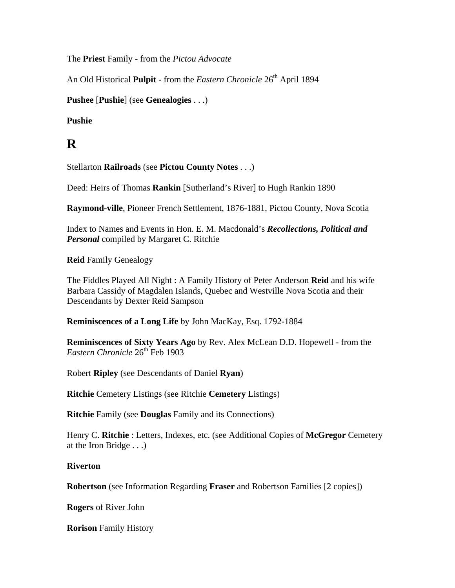The **Priest** Family - from the *Pictou Advocate* 

An Old Historical **Pulpit** - from the *Eastern Chronicle* 26<sup>th</sup> April 1894

**Pushee** [**Pushie**] (see **Genealogies** . . .)

**Pushie** 

# **R**

Stellarton **Railroads** (see **Pictou County Notes** . . .)

Deed: Heirs of Thomas **Rankin** [Sutherland's River] to Hugh Rankin 1890

**Raymond-ville**, Pioneer French Settlement, 1876-1881, Pictou County, Nova Scotia

Index to Names and Events in Hon. E. M. Macdonald's *Recollections, Political and Personal* compiled by Margaret C. Ritchie

**Reid** Family Genealogy

The Fiddles Played All Night : A Family History of Peter Anderson **Reid** and his wife Barbara Cassidy of Magdalen Islands, Quebec and Westville Nova Scotia and their Descendants by Dexter Reid Sampson

**Reminiscences of a Long Life** by John MacKay, Esq. 1792-1884

**Reminiscences of Sixty Years Ago** by Rev. Alex McLean D.D. Hopewell - from the *Eastern Chronicle* 26<sup>th</sup> Feb 1903

Robert **Ripley** (see Descendants of Daniel **Ryan**)

**Ritchie** Cemetery Listings (see Ritchie **Cemetery** Listings)

**Ritchie** Family (see **Douglas** Family and its Connections)

Henry C. **Ritchie** : Letters, Indexes, etc. (see Additional Copies of **McGregor** Cemetery at the Iron Bridge . . .)

#### **Riverton**

**Robertson** (see Information Regarding **Fraser** and Robertson Families [2 copies])

**Rogers** of River John

**Rorison** Family History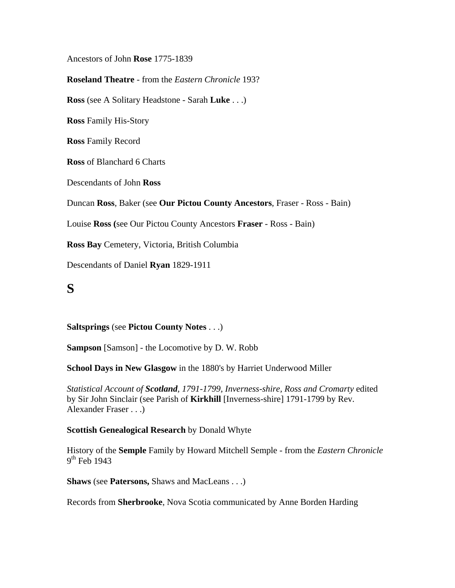Ancestors of John **Rose** 1775-1839

**Roseland Theatre** - from the *Eastern Chronicle* 193?

**Ross** (see A Solitary Headstone - Sarah **Luke** . . .)

**Ross** Family His-Story

**Ross** Family Record

**Ross** of Blanchard 6 Charts

Descendants of John **Ross** 

Duncan **Ross**, Baker (see **Our Pictou County Ancestors**, Fraser - Ross - Bain)

Louise **Ross (**see Our Pictou County Ancestors **Fraser** - Ross - Bain)

**Ross Bay** Cemetery, Victoria, British Columbia

Descendants of Daniel **Ryan** 1829-1911

# **S**

#### **Saltsprings** (see **Pictou County Notes** . . .)

**Sampson** [Samson] - the Locomotive by D. W. Robb

**School Days in New Glasgow** in the 1880's by Harriet Underwood Miller

*Statistical Account of Scotland, 1791-1799, Inverness-shire, Ross and Cromarty* edited by Sir John Sinclair (see Parish of **Kirkhill** [Inverness-shire] 1791-1799 by Rev. Alexander Fraser . . .)

#### **Scottish Genealogical Research** by Donald Whyte

History of the **Semple** Family by Howard Mitchell Semple - from the *Eastern Chronicle*  $9<sup>th</sup>$  Feb 1943

**Shaws** (see **Patersons,** Shaws and MacLeans . . .)

Records from **Sherbrooke**, Nova Scotia communicated by Anne Borden Harding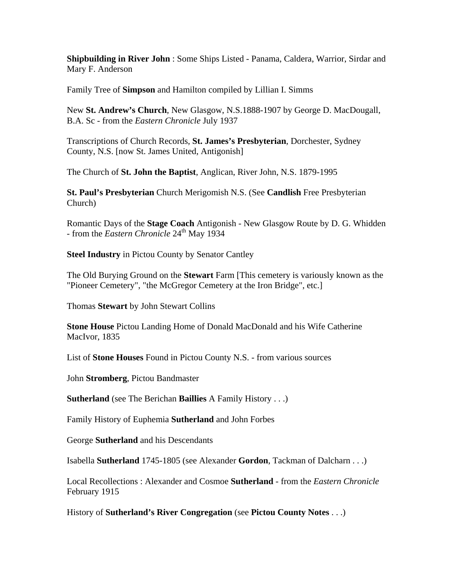**Shipbuilding in River John** : Some Ships Listed - Panama, Caldera, Warrior, Sirdar and Mary F. Anderson

Family Tree of **Simpson** and Hamilton compiled by Lillian I. Simms

New **St. Andrew's Church**, New Glasgow, N.S.1888-1907 by George D. MacDougall, B.A. Sc - from the *Eastern Chronicle* July 1937

Transcriptions of Church Records, **St. James's Presbyterian**, Dorchester, Sydney County, N.S. [now St. James United, Antigonish]

The Church of **St. John the Baptist**, Anglican, River John, N.S. 1879-1995

**St. Paul's Presbyterian** Church Merigomish N.S. (See **Candlish** Free Presbyterian Church)

Romantic Days of the **Stage Coach** Antigonish - New Glasgow Route by D. G. Whidden - from the *Eastern Chronicle* 24<sup>th</sup> May 1934

**Steel Industry** in Pictou County by Senator Cantley

The Old Burying Ground on the **Stewart** Farm [This cemetery is variously known as the "Pioneer Cemetery", "the McGregor Cemetery at the Iron Bridge", etc.]

Thomas **Stewart** by John Stewart Collins

**Stone House** Pictou Landing Home of Donald MacDonald and his Wife Catherine MacIvor, 1835

List of **Stone Houses** Found in Pictou County N.S. - from various sources

John **Stromberg**, Pictou Bandmaster

**Sutherland** (see The Berichan **Baillies** A Family History . . .)

Family History of Euphemia **Sutherland** and John Forbes

George **Sutherland** and his Descendants

Isabella **Sutherland** 1745-1805 (see Alexander **Gordon**, Tackman of Dalcharn . . .)

Local Recollections : Alexander and Cosmoe **Sutherland** - from the *Eastern Chronicle* February 1915

History of **Sutherland's River Congregation** (see **Pictou County Notes** . . .)